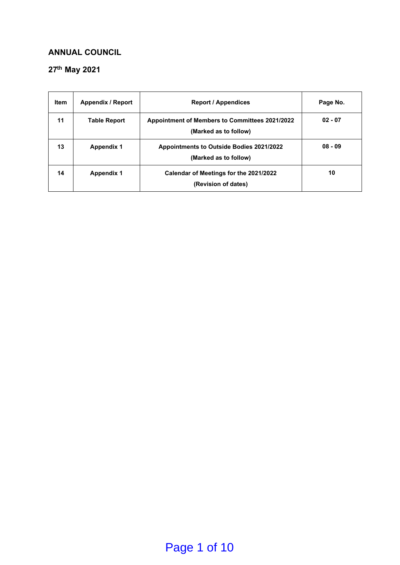#### **ANNUAL COUNCIL**

#### **27th May 2021**

| <b>Item</b> | <b>Appendix / Report</b> | <b>Report / Appendices</b>                                                     | Page No.  |
|-------------|--------------------------|--------------------------------------------------------------------------------|-----------|
| 11          | <b>Table Report</b>      | <b>Appointment of Members to Committees 2021/2022</b><br>(Marked as to follow) | $02 - 07$ |
| 13          | <b>Appendix 1</b>        | <b>Appointments to Outside Bodies 2021/2022</b><br>(Marked as to follow)       | $08 - 09$ |
| 14          | <b>Appendix 1</b>        | Calendar of Meetings for the 2021/2022<br>(Revision of dates)                  | 10        |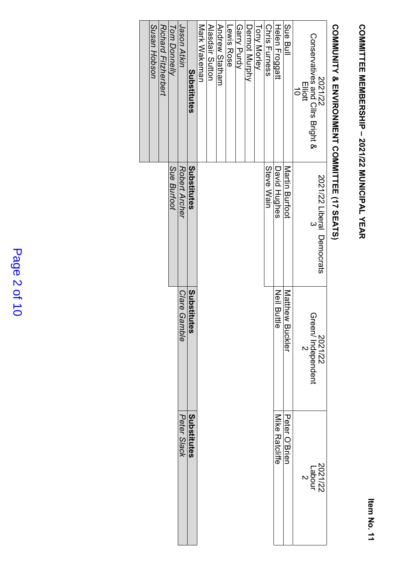# **COMMITTEE MEMBERSHIP - 2021/22 MUNICIPAL YEAR COMMITTEE MEMBERSHIP – 2021/22 MUNICIPAL YEAR**

# COMMUNITY & ENVIRONMENT COMMITTEE (17 SEATS) **COMMUNITY & ENVIRONMENT COMMITTEE (17 SEATS)**

| Susan Hobson | <b>Richard Fitzherbert</b> | <b>Tom Donnelly</b> | Jason Atkin   | Substitutes             | Mark Wakeman | <b>Alasdair Sutton</b> | Andrew Statham | Lewis Rose | Garry Purdy | Dermot Murphy | <b>Tony Morley</b> | <b>Chris Furness</b> | Helen Froggatt     | Sue Bull                  | Conservatives and Cllrs Bright &<br>Elliott<br>$\vec{0}$ | 2021/22                        |
|--------------|----------------------------|---------------------|---------------|-------------------------|--------------|------------------------|----------------|------------|-------------|---------------|--------------------|----------------------|--------------------|---------------------------|----------------------------------------------------------|--------------------------------|
|              |                            | Sue Burtoot         | Robert Archer | Substitutes             |              |                        |                |            |             |               |                    | Steve Wain           | David Hughes       | Martin Burtoot            |                                                          | 2021/22 Liberal Democrats<br>3 |
|              |                            |                     | Clare Gamble  | Substitu<br><b>Ites</b> |              |                        |                |            |             |               |                    |                      | <b>Neil Buttle</b> | Matthew<br><b>Buckler</b> | Green/ Independent<br>2                                  | 2021/22                        |
|              |                            |                     | Peter Slack   | Substitutes             |              |                        |                |            |             |               |                    |                      | Mike Ratcliffe     | Peter O'Brien             | 2021/22<br>Labour<br>2                                   |                                |

### Page 2 of 10 Page 2 of 10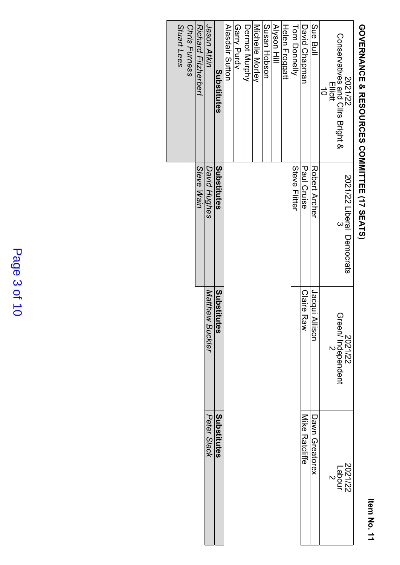# GOVERNANCE & RESOURCES COMMITTEE (17 SEATS) **GOVERNANCE & RESOURCES COMMITTEE (17 SEATS)**

| Stuart Lees | Chris Furness | <b>Richard Fitzherbert</b><br>Steve Wain | <b>Unity Hikin</b><br>David Hughes | Substitutes<br>Substitutes | Alasdair Sutton | Garry Purdy | Dermot Murphy | Michelle Morley | Susan Hobson | Alyson Hill | Helen Froggatt | <b>Tom Donnelly</b><br>Steve Flitter | David Chapman<br>Paul Cruise | Sue Bull<br>Robert Archer | Conservatives and Cllrs Bright &<br>2021/22<br>Elliott<br>$\Rightarrow$<br>2021/22 Liberal Democrats<br>$\omega$ |
|-------------|---------------|------------------------------------------|------------------------------------|----------------------------|-----------------|-------------|---------------|-----------------|--------------|-------------|----------------|--------------------------------------|------------------------------|---------------------------|------------------------------------------------------------------------------------------------------------------|
|             |               |                                          | Matthew Buckler                    | Substitutes                |                 |             |               |                 |              |             |                |                                      | <b>Claire Raw</b>            | Jacqui A<br>llison        | Green/ Independent<br>2<br>2021/22                                                                               |
|             |               |                                          | Peter Slack                        | Substitutes                |                 |             |               |                 |              |             |                |                                      | Mike Ratcliffe               | Dawn Greatorex            | 2021/22<br>Labour<br>2                                                                                           |

### Page 3 of 10 Page 3 of 10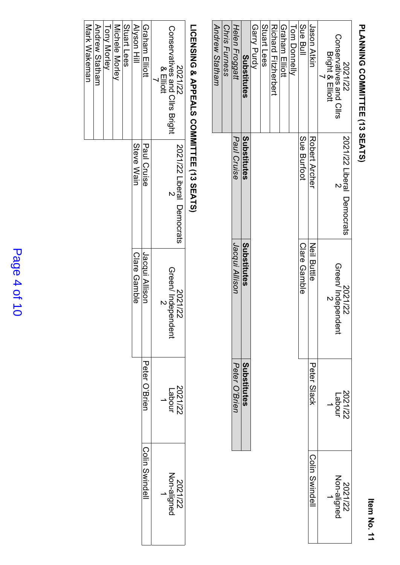### PLANNING COMMITTEE (13 SEATS) **PLANNING COMMITTEE (13 SEATS)**

| Andrew Statham | <b>Chris Furness</b> | Helen Froggatt | Substitutes | Garry Purdy | Stuart Lees | Kichard Firtherbert | Graham Elliott | Tom Donnelly | Sue Bull     | Jason Atkin        | Conservatives and Cllrs<br><b>Bright &amp; Elliott</b><br>2021/22 |
|----------------|----------------------|----------------|-------------|-------------|-------------|---------------------|----------------|--------------|--------------|--------------------|-------------------------------------------------------------------|
|                |                      | Paul Cruise    | Substitutes |             |             |                     |                |              | Sue Burfoot  | Robert Archer      | 2021/22 Liberal Democrats                                         |
|                |                      | Jacqui Allison | Substitutes |             |             |                     |                |              | Clare Gamble | <b>Neil Buttle</b> | Green/ Independent<br>2<br>2021/22                                |
|                |                      | Peter O'Brien  | Substitutes |             |             |                     |                |              |              | Peter Slack        | 2021/22<br>Labour                                                 |
|                |                      |                |             |             |             |                     |                |              |              | Colin Swindell     | 2021/22<br>Non-aligned<br>1                                       |

## LICENSING & APPEALS COMMITTEE (13 SEATS) **LICENSING & APPEALS COMMITTEE (13 SEATS)**

| <b>Tony Morley</b> | Michele Morley | Stuart Lees | <b>Alyson Hill</b><br>Steve Wain | Graham Elliott<br>Paul Cruise | Conservatives and Cllrs Bright<br>2021/22<br>& Elliott |
|--------------------|----------------|-------------|----------------------------------|-------------------------------|--------------------------------------------------------|
|                    |                |             |                                  |                               | 2021/22 Liberal Democrats                              |
|                    |                |             | Clare Gamble                     | Jacqui Allison                | Green/Indepen<br>2021/22<br>ndent                      |
|                    |                |             |                                  | Peter O'Brien                 | 2021/22<br>Labour                                      |
|                    |                |             |                                  | Colin Swindell                | 2021/22<br>Non-aligned                                 |

Andrew

Mark

Wakeman

Statham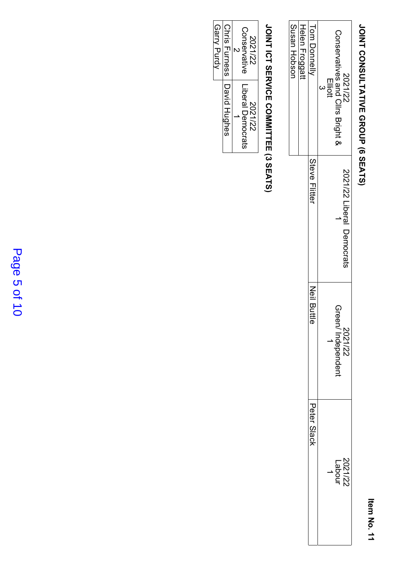### JOINT CONSULTATIVE GROUP (6 SEATS) **JOINT CONSULTATIVE GROUP (6 SEATS)**

|              |                        |                           | Susan Hobson                     |
|--------------|------------------------|---------------------------|----------------------------------|
|              |                        |                           | Helen Froggatt                   |
| Peter Slack  | Neil Butt<br>$\vec{e}$ | Steve Flitter             | Tom Donnell <sub>\</sub>         |
|              |                        |                           | <b>Elliott</b>                   |
| <b>Labou</b> | Green/Independent      |                           | Conservatives and Clirs Bright & |
| 2021/22      | 2021/22                | 2021/22 Liberal Democrats | 2021/22                          |

## JOINT ICT SERVICE COMMITTEE (3 SEATS) **JOINT ICT SERVICE COMMITTEE (3 SEATS)**

| 2021/22       | 2021/22                  |
|---------------|--------------------------|
| Conservative  | <b>Liberal Democrats</b> |
| Chris Furness | David Hughes             |
| Garry Purdy   |                          |

### Page 5 of 10 Page 5 of 10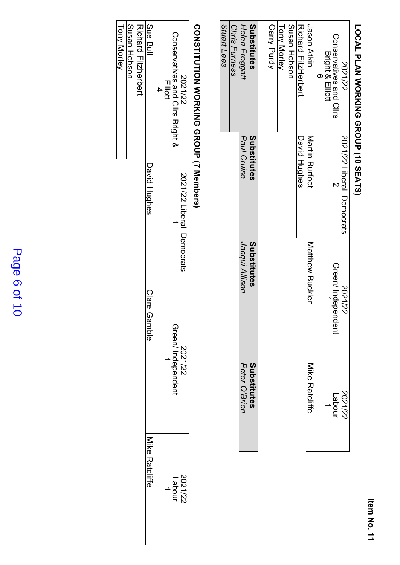## LOCAL PLAN WORKING GROUP (10 SEATS) **LOCAL PLAN WORKING GROUP (10 SEATS)**

## CONSTITUTION WORKING GROUP (7 Members) **CONSTITUTION WORKING GROUP (7 Members)**

| Conservatives and Cllis Bright &<br>2021/22<br>Elliott | 2021/22 Liberal Democrats | Green/Independent<br>2021/22 | 2021/22<br>Labour     |
|--------------------------------------------------------|---------------------------|------------------------------|-----------------------|
| Sue Bull                                               | David Hughes              | Clare G<br>iamble            | <b>Nike Ratcliffe</b> |
| <b>JUCHAIN FINTERPEN</b>                               |                           |                              |                       |
| Susan Hobson                                           |                           |                              |                       |

Tony

Morley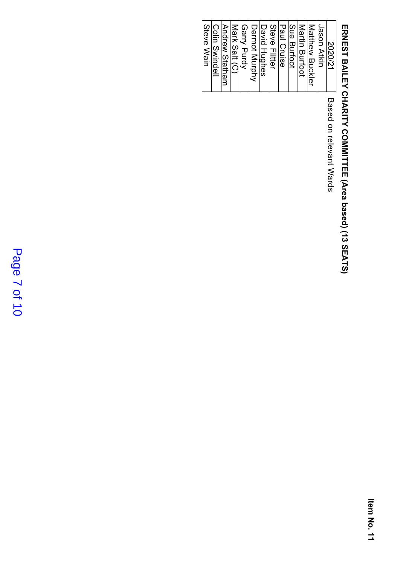# ERNEST BAILEY CHARITY COMMITTEE (Area based) (13 SEATS) **ERNEST BAILEY CHARITY COMMITTEE (Area based) (13 SEATS)**

Colin

Steve

Wain

Swindell

Based on relevant Wards

### Page 7 of 10 Page 7 of 10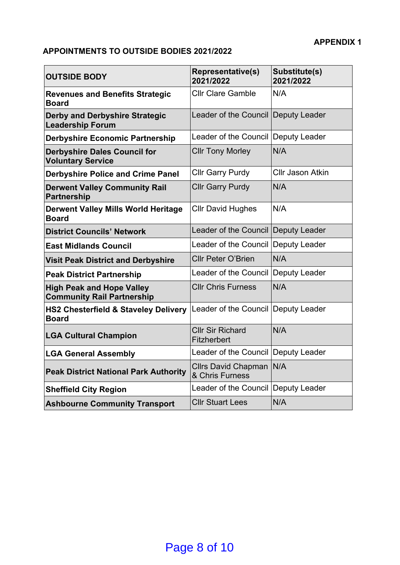#### **APPOINTMENTS TO OUTSIDE BODIES 2021/2022**

| <b>OUTSIDE BODY</b>                                                   | <b>Representative(s)</b><br>2021/2022         | Substitute(s)<br>2021/2022 |
|-----------------------------------------------------------------------|-----------------------------------------------|----------------------------|
| <b>Revenues and Benefits Strategic</b><br><b>Board</b>                | <b>Cllr Clare Gamble</b>                      | N/A                        |
| <b>Derby and Derbyshire Strategic</b><br><b>Leadership Forum</b>      | Leader of the Council Deputy Leader           |                            |
| <b>Derbyshire Economic Partnership</b>                                | Leader of the Council Deputy Leader           |                            |
| <b>Derbyshire Dales Council for</b><br><b>Voluntary Service</b>       | <b>Cllr Tony Morley</b>                       | N/A                        |
| <b>Derbyshire Police and Crime Panel</b>                              | <b>Cllr Garry Purdy</b>                       | <b>Cllr Jason Atkin</b>    |
| <b>Derwent Valley Community Rail</b><br><b>Partnership</b>            | <b>Cllr Garry Purdy</b>                       | N/A                        |
| <b>Derwent Valley Mills World Heritage</b><br><b>Board</b>            | <b>Cllr David Hughes</b>                      | N/A                        |
| <b>District Councils' Network</b>                                     | Leader of the Council Deputy Leader           |                            |
| <b>East Midlands Council</b>                                          | Leader of the Council                         | Deputy Leader              |
| <b>Visit Peak District and Derbyshire</b>                             | <b>Cllr Peter O'Brien</b>                     | N/A                        |
| <b>Peak District Partnership</b>                                      | Leader of the Council                         | Deputy Leader              |
| <b>High Peak and Hope Valley</b><br><b>Community Rail Partnership</b> | <b>Cllr Chris Furness</b>                     | N/A                        |
| <b>HS2 Chesterfield &amp; Staveley Delivery</b><br><b>Board</b>       | Leader of the Council Deputy Leader           |                            |
| <b>LGA Cultural Champion</b>                                          | <b>Cllr Sir Richard</b><br><b>Fitzherbert</b> | N/A                        |
| <b>LGA General Assembly</b>                                           | Leader of the Council Deputy Leader           |                            |
| <b>Peak District National Park Authority</b>                          | Cllrs David Chapman N/A<br>& Chris Furness    |                            |
| <b>Sheffield City Region</b>                                          | Leader of the Council Deputy Leader           |                            |
| <b>Ashbourne Community Transport</b>                                  | <b>CIIr Stuart Lees</b>                       | N/A                        |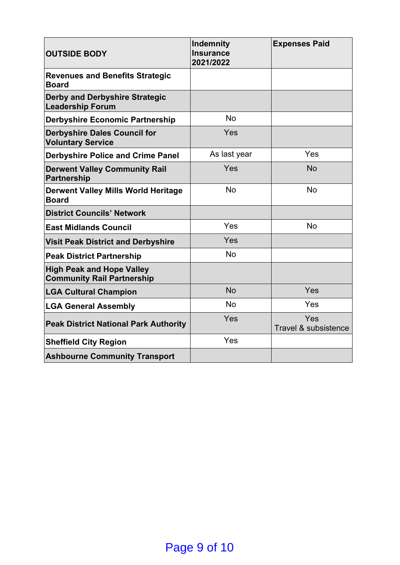| <b>OUTSIDE BODY</b>                                                   | Indemnity<br><b>Insurance</b><br>2021/2022 | <b>Expenses Paid</b>        |
|-----------------------------------------------------------------------|--------------------------------------------|-----------------------------|
| <b>Revenues and Benefits Strategic</b><br><b>Board</b>                |                                            |                             |
| <b>Derby and Derbyshire Strategic</b><br><b>Leadership Forum</b>      |                                            |                             |
| <b>Derbyshire Economic Partnership</b>                                | <b>No</b>                                  |                             |
| <b>Derbyshire Dales Council for</b><br><b>Voluntary Service</b>       | Yes                                        |                             |
| <b>Derbyshire Police and Crime Panel</b>                              | As last year                               | Yes                         |
| <b>Derwent Valley Community Rail</b><br><b>Partnership</b>            | Yes                                        | <b>No</b>                   |
| <b>Derwent Valley Mills World Heritage</b><br><b>Board</b>            | <b>No</b>                                  | <b>No</b>                   |
| <b>District Councils' Network</b>                                     |                                            |                             |
| <b>East Midlands Council</b>                                          | Yes                                        | <b>No</b>                   |
| <b>Visit Peak District and Derbyshire</b>                             | Yes                                        |                             |
| <b>Peak District Partnership</b>                                      | <b>No</b>                                  |                             |
| <b>High Peak and Hope Valley</b><br><b>Community Rail Partnership</b> |                                            |                             |
| <b>LGA Cultural Champion</b>                                          | <b>No</b>                                  | Yes                         |
| <b>LGA General Assembly</b>                                           | <b>No</b>                                  | Yes                         |
| <b>Peak District National Park Authority</b>                          | Yes                                        | Yes<br>Travel & subsistence |
| <b>Sheffield City Region</b>                                          | Yes                                        |                             |
| <b>Ashbourne Community Transport</b>                                  |                                            |                             |